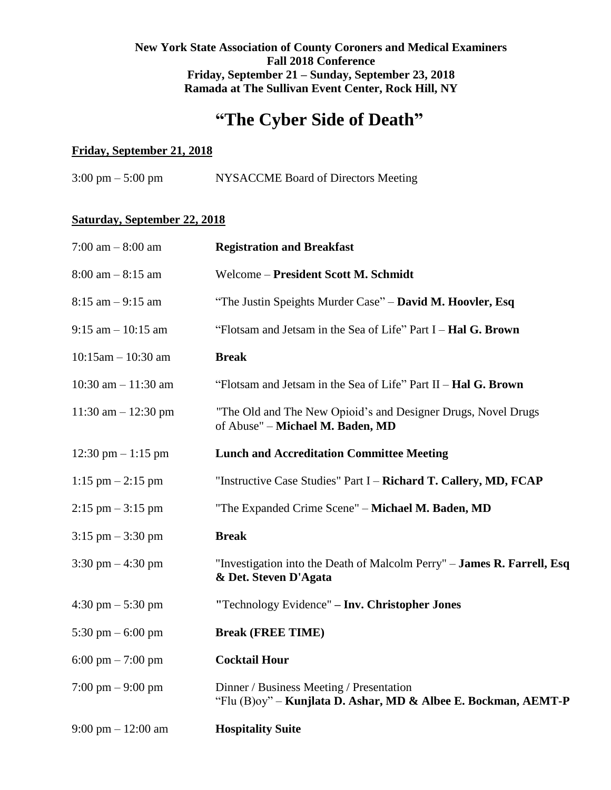# **New York State Association of County Coroners and Medical Examiners Fall 2018 Conference Friday, September 21 – Sunday, September 23, 2018 Ramada at The Sullivan Event Center, Rock Hill, NY**

# **"The Cyber Side of Death"**

## **Friday, September 21, 2018**

| $3:00 \text{ pm} - 5:00 \text{ pm}$ | NYSACCME Board of Directors Meeting |
|-------------------------------------|-------------------------------------|
|-------------------------------------|-------------------------------------|

# **Saturday, September 22, 2018**

| 7:00 am $-8:00$ am                   | <b>Registration and Breakfast</b>                                                                          |
|--------------------------------------|------------------------------------------------------------------------------------------------------------|
| $8:00$ am $-8:15$ am                 | Welcome - President Scott M. Schmidt                                                                       |
| $8:15$ am $-9:15$ am                 | "The Justin Speights Murder Case" - David M. Hoovler, Esq                                                  |
| $9:15$ am $-10:15$ am                | "Flotsam and Jetsam in the Sea of Life" Part I - Hal G. Brown                                              |
| $10:15$ am $- 10:30$ am              | <b>Break</b>                                                                                               |
| 10:30 am $- 11:30$ am                | "Flotsam and Jetsam in the Sea of Life" Part II – <b>Hal G. Brown</b>                                      |
| 11:30 am $- 12:30$ pm                | "The Old and The New Opioid's and Designer Drugs, Novel Drugs<br>of Abuse" - Michael M. Baden, MD          |
| 12:30 pm $-1:15$ pm                  | <b>Lunch and Accreditation Committee Meeting</b>                                                           |
| $1:15 \text{ pm} - 2:15 \text{ pm}$  | "Instructive Case Studies" Part I – Richard T. Callery, MD, FCAP                                           |
| $2:15$ pm $-3:15$ pm                 | "The Expanded Crime Scene" - Michael M. Baden, MD                                                          |
| $3:15$ pm $-3:30$ pm                 | <b>Break</b>                                                                                               |
| 3:30 pm $-4:30$ pm                   | "Investigation into the Death of Malcolm Perry" - James R. Farrell, Esq<br>& Det. Steven D'Agata           |
| $4:30 \text{ pm} - 5:30 \text{ pm}$  | "Technology Evidence" - Inv. Christopher Jones                                                             |
| 5:30 pm $-$ 6:00 pm                  | <b>Break (FREE TIME)</b>                                                                                   |
| 6:00 pm $-7:00$ pm                   | <b>Cocktail Hour</b>                                                                                       |
| 7:00 pm $-9:00$ pm                   | Dinner / Business Meeting / Presentation<br>"Flu (B)oy" - Kunjlata D. Ashar, MD & Albee E. Bockman, AEMT-P |
| $9:00 \text{ pm} - 12:00 \text{ am}$ | <b>Hospitality Suite</b>                                                                                   |